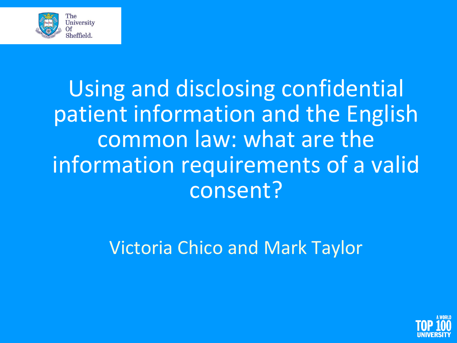

Using and disclosing confidential patient information and the English common law: what are the information requirements of a valid consent?

Victoria Chico and Mark Taylor

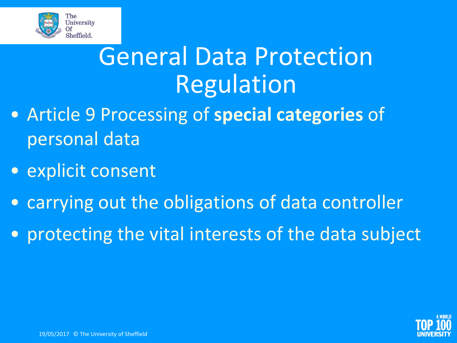

## General Data Protection Regulation

- Article 9 Processing of **special categories** of personal data
- explicit consent
- carrying out the obligations of data controller
- protecting the vital interests of the data subject

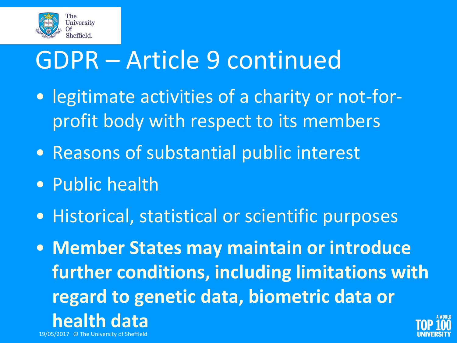

## GDPR – Article 9 continued

- legitimate activities of a charity or not-forprofit body with respect to its members
- Reasons of substantial public interest
- Public health
- Historical, statistical or scientific purposes
- **Member States may maintain or introduce further conditions, including limitations with regard to genetic data, biometric data or health data** 19/05/2017 © The University of Sheffield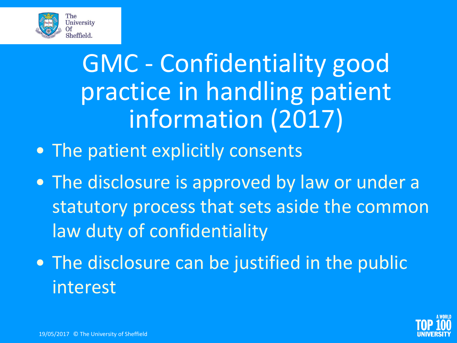

## GMC - Confidentiality good practice in handling patient information (2017)

- The patient explicitly consents
- The disclosure is approved by law or under a statutory process that sets aside the common law duty of confidentiality
- The disclosure can be justified in the public interest

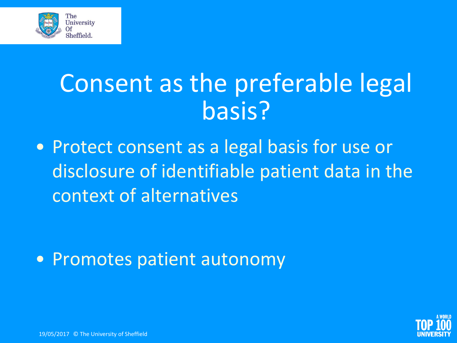

#### Consent as the preferable legal basis?

• Protect consent as a legal basis for use or disclosure of identifiable patient data in the context of alternatives

• Promotes patient autonomy



19/05/2017 © The University of Sheffield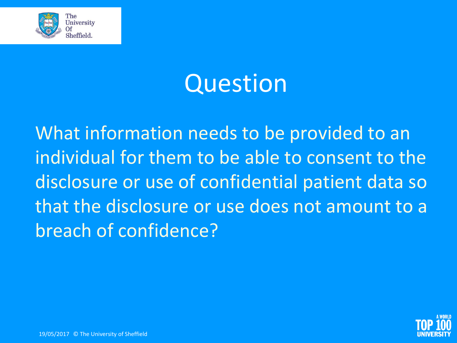

#### Question

What information needs to be provided to an individual for them to be able to consent to the disclosure or use of confidential patient data so that the disclosure or use does not amount to a breach of confidence?

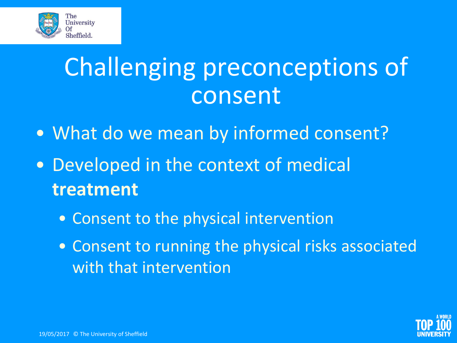

### Challenging preconceptions of consent

- What do we mean by informed consent?
- Developed in the context of medical **treatment**
	- Consent to the physical intervention
	- Consent to running the physical risks associated with that intervention

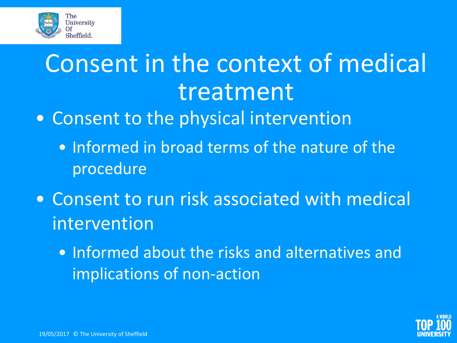

# Consent in the context of medical treatment

- Consent to the physical intervention
	- Informed in broad terms of the nature of the procedure
- Consent to run risk associated with medical intervention
	- Informed about the risks and alternatives and implications of non-action

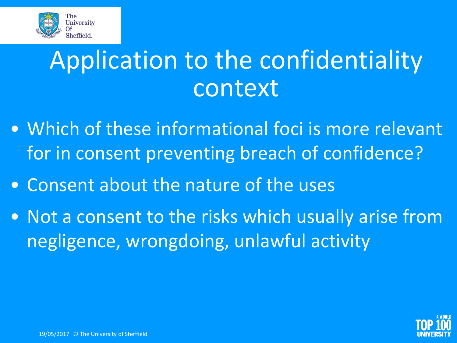

### Application to the confidentiality context

- Which of these informational foci is more relevant for in consent preventing breach of confidence?
- Consent about the nature of the uses
- Not a consent to the risks which usually arise from negligence, wrongdoing, unlawful activity

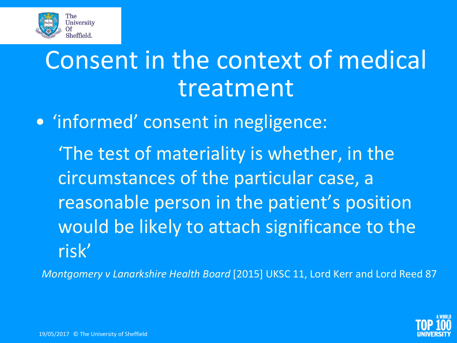

## Consent in the context of medical treatment

• 'informed' consent in negligence:

'The test of materiality is whether, in the circumstances of the particular case, a reasonable person in the patient's position would be likely to attach significance to the risk'

*Montgomery v Lanarkshire Health Board* [2015] UKSC 11, Lord Kerr and Lord Reed 87

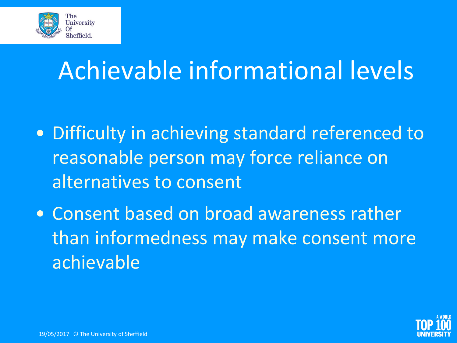

## Achievable informational levels

- Difficulty in achieving standard referenced to reasonable person may force reliance on alternatives to consent
- Consent based on broad awareness rather than informedness may make consent more achievable

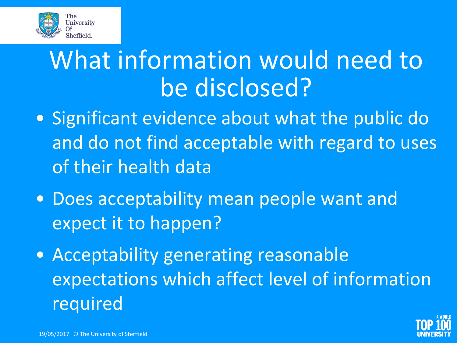

### What information would need to be disclosed?

- Significant evidence about what the public do and do not find acceptable with regard to uses of their health data
- Does acceptability mean people want and expect it to happen?
- Acceptability generating reasonable expectations which affect level of information required

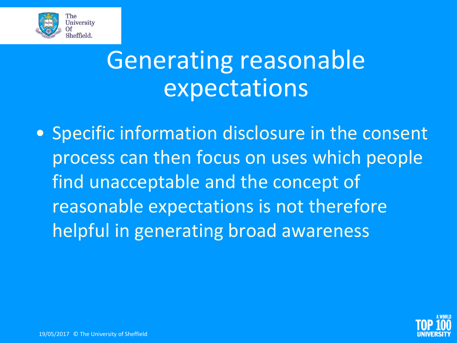

### Generating reasonable expectations

• Specific information disclosure in the consent process can then focus on uses which people find unacceptable and the concept of reasonable expectations is not therefore helpful in generating broad awareness

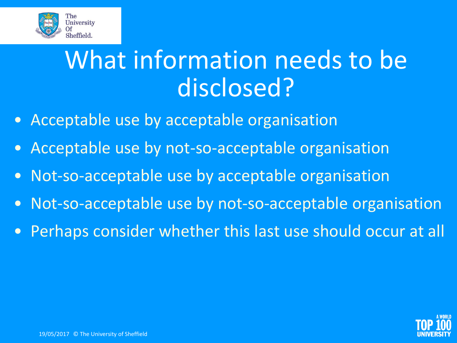

### What information needs to be disclosed?

- Acceptable use by acceptable organisation
- Acceptable use by not-so-acceptable organisation
- Not-so-acceptable use by acceptable organisation
- Not-so-acceptable use by not-so-acceptable organisation
- Perhaps consider whether this last use should occur at all